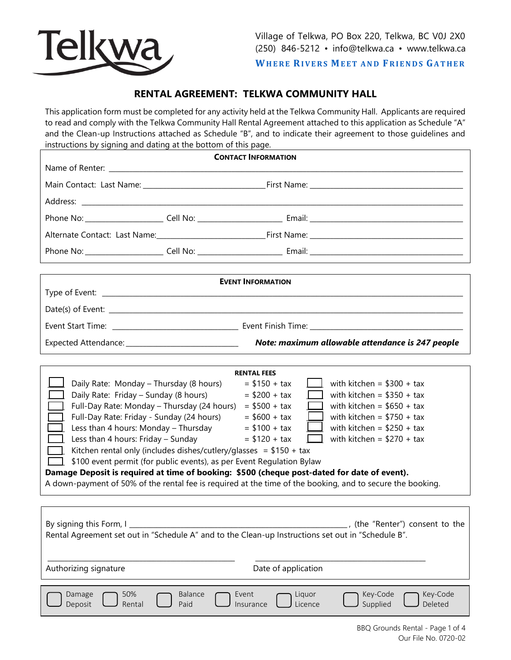

**WHERE RIVERS MEET AND FRIENDS GATHER** 

# **RENTAL AGREEMENT: TELKWA COMMUNITY HALL**

This application form must be completed for any activity held at the Telkwa Community Hall. Applicants are required to read and comply with the Telkwa Community Hall Rental Agreement attached to this application as Schedule "A" and the Clean-up Instructions attached as Schedule "B", and to indicate their agreement to those guidelines and instructions by signing and dating at the bottom of this page.

| <b>CONTACT INFORMATION</b>                                                                                                                                                                                                                                                                                                                                                                                                                                                                                                                                                                                                                                                                                                                                                                                                                                                                                                                                          |                        |                                                                                                                                      |  |
|---------------------------------------------------------------------------------------------------------------------------------------------------------------------------------------------------------------------------------------------------------------------------------------------------------------------------------------------------------------------------------------------------------------------------------------------------------------------------------------------------------------------------------------------------------------------------------------------------------------------------------------------------------------------------------------------------------------------------------------------------------------------------------------------------------------------------------------------------------------------------------------------------------------------------------------------------------------------|------------------------|--------------------------------------------------------------------------------------------------------------------------------------|--|
|                                                                                                                                                                                                                                                                                                                                                                                                                                                                                                                                                                                                                                                                                                                                                                                                                                                                                                                                                                     |                        |                                                                                                                                      |  |
|                                                                                                                                                                                                                                                                                                                                                                                                                                                                                                                                                                                                                                                                                                                                                                                                                                                                                                                                                                     |                        |                                                                                                                                      |  |
|                                                                                                                                                                                                                                                                                                                                                                                                                                                                                                                                                                                                                                                                                                                                                                                                                                                                                                                                                                     |                        |                                                                                                                                      |  |
|                                                                                                                                                                                                                                                                                                                                                                                                                                                                                                                                                                                                                                                                                                                                                                                                                                                                                                                                                                     |                        |                                                                                                                                      |  |
|                                                                                                                                                                                                                                                                                                                                                                                                                                                                                                                                                                                                                                                                                                                                                                                                                                                                                                                                                                     |                        |                                                                                                                                      |  |
|                                                                                                                                                                                                                                                                                                                                                                                                                                                                                                                                                                                                                                                                                                                                                                                                                                                                                                                                                                     |                        |                                                                                                                                      |  |
|                                                                                                                                                                                                                                                                                                                                                                                                                                                                                                                                                                                                                                                                                                                                                                                                                                                                                                                                                                     |                        |                                                                                                                                      |  |
| <b>EVENT INFORMATION</b>                                                                                                                                                                                                                                                                                                                                                                                                                                                                                                                                                                                                                                                                                                                                                                                                                                                                                                                                            |                        |                                                                                                                                      |  |
|                                                                                                                                                                                                                                                                                                                                                                                                                                                                                                                                                                                                                                                                                                                                                                                                                                                                                                                                                                     |                        |                                                                                                                                      |  |
|                                                                                                                                                                                                                                                                                                                                                                                                                                                                                                                                                                                                                                                                                                                                                                                                                                                                                                                                                                     |                        |                                                                                                                                      |  |
|                                                                                                                                                                                                                                                                                                                                                                                                                                                                                                                                                                                                                                                                                                                                                                                                                                                                                                                                                                     |                        |                                                                                                                                      |  |
|                                                                                                                                                                                                                                                                                                                                                                                                                                                                                                                                                                                                                                                                                                                                                                                                                                                                                                                                                                     |                        |                                                                                                                                      |  |
| <b>RENTAL FEES</b><br>with kitchen = $$300 + tax$<br>Daily Rate: Monday - Thursday (8 hours)<br>$= $150 + tax$<br>Daily Rate: Friday - Sunday (8 hours)<br>with kitchen = $$350 + tax$<br>$= $200 + tax$<br>Full-Day Rate: Monday - Thursday (24 hours)<br>with kitchen = $$650 + tax$<br>$= $500 + tax$<br>Full-Day Rate: Friday - Sunday (24 hours)<br>with kitchen = $$750 + tax$<br>$= $600 + tax$<br>Less than 4 hours: Monday - Thursday<br>with kitchen = $$250 + tax$<br>$= $100 + tax$<br>Less than 4 hours: Friday - Sunday<br>with kitchen = $$270 + tax$<br>$= $120 + tax$<br>$\mathbf{1}$<br>Kitchen rental only (includes dishes/cutlery/glasses = $$150 + tax$<br>\$100 event permit (for public events), as per Event Regulation Bylaw<br>Damage Deposit is required at time of booking: \$500 (cheque post-dated for date of event).<br>A down-payment of 50% of the rental fee is required at the time of the booking, and to secure the booking. |                        |                                                                                                                                      |  |
| (the "Renter") consent to the<br>By signing this Form, I<br>Rental Agreement set out in "Schedule A" and to the Clean-up Instructions set out in "Schedule B".<br>Date of application<br>Authorizing signature                                                                                                                                                                                                                                                                                                                                                                                                                                                                                                                                                                                                                                                                                                                                                      |                        |                                                                                                                                      |  |
| 50%<br>Damage<br>Deposit<br>Rental                                                                                                                                                                                                                                                                                                                                                                                                                                                                                                                                                                                                                                                                                                                                                                                                                                                                                                                                  | <b>Balance</b><br>Paid | Key-Code<br>Key-Code<br>Event<br>Liquor<br>Supplied<br>Deleted<br>Licence<br>Insurance<br>$RRO$ Grounds Rantal - Rage 1 of $\Lambda$ |  |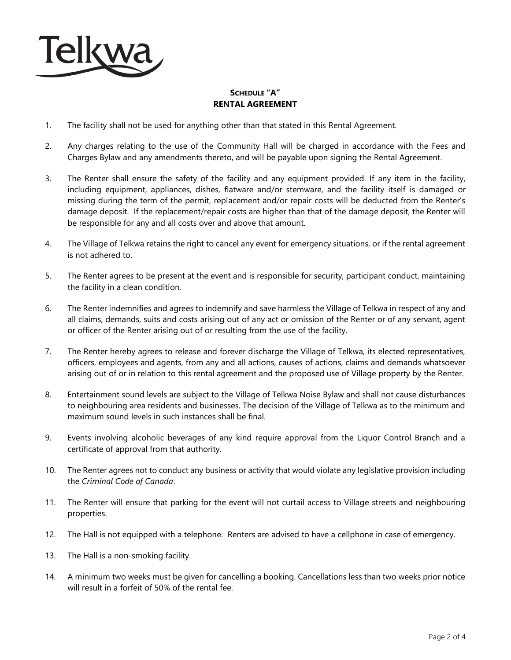

## **SCHEDULE "A" RENTAL AGREEMENT**

- 1. The facility shall not be used for anything other than that stated in this Rental Agreement.
- 2. Any charges relating to the use of the Community Hall will be charged in accordance with the Fees and Charges Bylaw and any amendments thereto, and will be payable upon signing the Rental Agreement.
- 3. The Renter shall ensure the safety of the facility and any equipment provided. If any item in the facility, including equipment, appliances, dishes, flatware and/or stemware, and the facility itself is damaged or missing during the term of the permit, replacement and/or repair costs will be deducted from the Renter's damage deposit. If the replacement/repair costs are higher than that of the damage deposit, the Renter will be responsible for any and all costs over and above that amount.
- 4. The Village of Telkwa retains the right to cancel any event for emergency situations, or if the rental agreement is not adhered to.
- 5. The Renter agrees to be present at the event and is responsible for security, participant conduct, maintaining the facility in a clean condition.
- 6. The Renter indemnifies and agrees to indemnify and save harmless the Village of Telkwa in respect of any and all claims, demands, suits and costs arising out of any act or omission of the Renter or of any servant, agent or officer of the Renter arising out of or resulting from the use of the facility.
- 7. The Renter hereby agrees to release and forever discharge the Village of Telkwa, its elected representatives, officers, employees and agents, from any and all actions, causes of actions, claims and demands whatsoever arising out of or in relation to this rental agreement and the proposed use of Village property by the Renter.
- 8. Entertainment sound levels are subject to the Village of Telkwa Noise Bylaw and shall not cause disturbances to neighbouring area residents and businesses. The decision of the Village of Telkwa as to the minimum and maximum sound levels in such instances shall be final.
- 9. Events involving alcoholic beverages of any kind require approval from the Liquor Control Branch and a certificate of approval from that authority.
- 10. The Renter agrees not to conduct any business or activity that would violate any legislative provision including the *Criminal Code of Canada*.
- 11. The Renter will ensure that parking for the event will not curtail access to Village streets and neighbouring properties.
- 12. The Hall is not equipped with a telephone. Renters are advised to have a cellphone in case of emergency.
- 13. The Hall is a non-smoking facility.
- 14. A minimum two weeks must be given for cancelling a booking. Cancellations less than two weeks prior notice will result in a forfeit of 50% of the rental fee.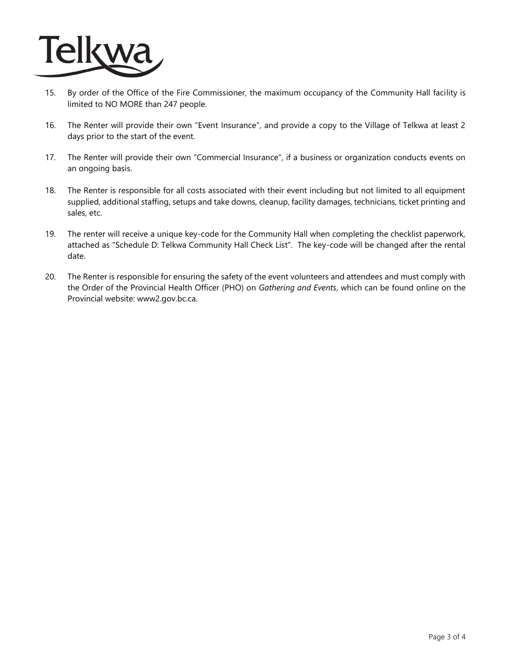

- 15. By order of the Office of the Fire Commissioner, the maximum occupancy of the Community Hall facility is limited to NO MORE than 247 people.
- 16. The Renter will provide their own "Event Insurance", and provide a copy to the Village of Telkwa at least 2 days prior to the start of the event.
- 17. The Renter will provide their own "Commercial Insurance", if a business or organization conducts events on an ongoing basis.
- 18. The Renter is responsible for all costs associated with their event including but not limited to all equipment supplied, additional staffing, setups and take downs, cleanup, facility damages, technicians, ticket printing and sales, etc.
- 19. The renter will receive a unique key-code for the Community Hall when completing the checklist paperwork, attached as "Schedule D: Telkwa Community Hall Check List". The key-code will be changed after the rental date.
- 20. The Renter is responsible for ensuring the safety of the event volunteers and attendees and must comply with the Order of the Provincial Health Officer (PHO) on *Gathering and Events*, which can be found online on the Provincial website: www2.gov.bc.ca.